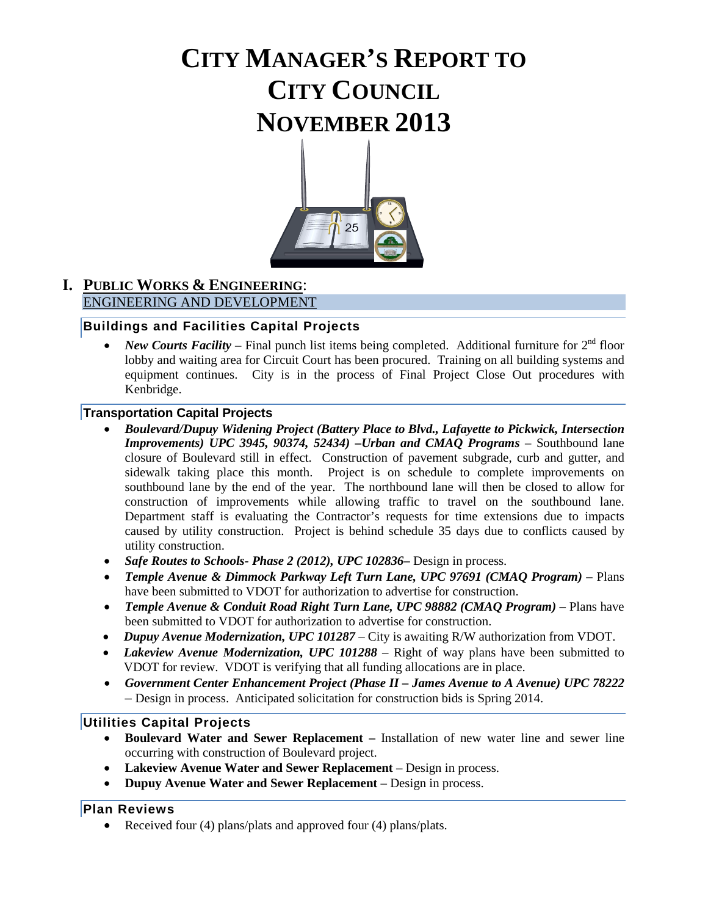# **CITY MANAGER'S REPORT TO CITY COUNCIL NOVEMBER 2013**



## **I. PUBLIC WORKS & ENGINEERING**: ENGINEERING AND DEVELOPMENT

### **Buildings and Facilities Capital Projects**

*New Courts Facility* – Final punch list items being completed. Additional furniture for  $2<sup>nd</sup>$  floor lobby and waiting area for Circuit Court has been procured. Training on all building systems and equipment continues. City is in the process of Final Project Close Out procedures with Kenbridge.

### **Transportation Capital Projects**

- *Boulevard/Dupuy Widening Project (Battery Place to Blvd., Lafayette to Pickwick, Intersection Improvements) UPC 3945, 90374, 52434) –Urban and CMAQ Programs* – Southbound lane closure of Boulevard still in effect. Construction of pavement subgrade, curb and gutter, and sidewalk taking place this month. Project is on schedule to complete improvements on southbound lane by the end of the year. The northbound lane will then be closed to allow for construction of improvements while allowing traffic to travel on the southbound lane. Department staff is evaluating the Contractor's requests for time extensions due to impacts caused by utility construction. Project is behind schedule 35 days due to conflicts caused by utility construction.
- *Safe Routes to Schools- Phase 2 (2012), UPC 102836***–** Design in process.
- *Temple Avenue & Dimmock Parkway Left Turn Lane, UPC 97691 (CMAQ Program) –* Plans have been submitted to VDOT for authorization to advertise for construction.
- *Temple Avenue & Conduit Road Right Turn Lane, UPC 98882 (CMAQ Program) –* Plans have been submitted to VDOT for authorization to advertise for construction.
- *Dupuy Avenue Modernization, UPC 101287*  City is awaiting R/W authorization from VDOT.
- *Lakeview Avenue Modernization, UPC 101288* Right of way plans have been submitted to VDOT for review. VDOT is verifying that all funding allocations are in place.
- *Government Center Enhancement Project (Phase II – James Avenue to A Avenue) UPC 78222 –* Design in process. Anticipated solicitation for construction bids is Spring 2014.

### **Utilities Capital Projects**

- **Boulevard Water and Sewer Replacement –** Installation of new water line and sewer line occurring with construction of Boulevard project.
- Lakeview Avenue Water and Sewer Replacement Design in process.
- **Dupuy Avenue Water and Sewer Replacement**  Design in process.

## **Plan Reviews**

• Received four (4) plans/plats and approved four (4) plans/plats.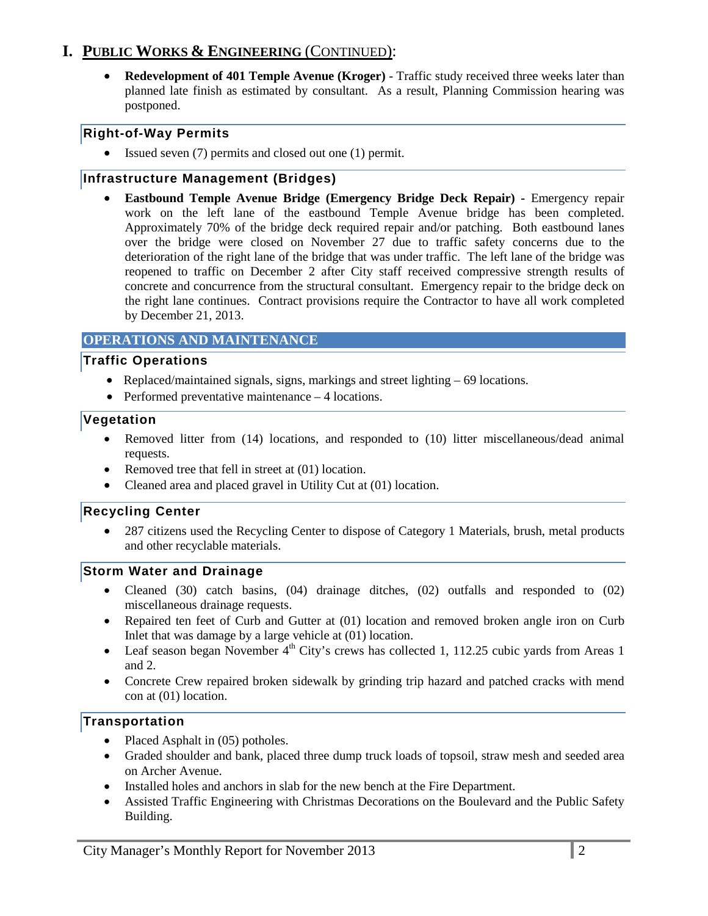## **I. PUBLIC WORKS & ENGINEERING** (CONTINUED):

• **Redevelopment of 401 Temple Avenue (Kroger)** - Traffic study received three weeks later than planned late finish as estimated by consultant. As a result, Planning Commission hearing was postponed.

### **Right-of-Way Permits**

• Issued seven (7) permits and closed out one (1) permit.

#### **Infrastructure Management (Bridges)**

• **Eastbound Temple Avenue Bridge (Emergency Bridge Deck Repair) -** Emergency repair work on the left lane of the eastbound Temple Avenue bridge has been completed. Approximately 70% of the bridge deck required repair and/or patching. Both eastbound lanes over the bridge were closed on November 27 due to traffic safety concerns due to the deterioration of the right lane of the bridge that was under traffic. The left lane of the bridge was reopened to traffic on December 2 after City staff received compressive strength results of concrete and concurrence from the structural consultant. Emergency repair to the bridge deck on the right lane continues. Contract provisions require the Contractor to have all work completed by December 21, 2013.

#### **OPERATIONS AND MAINTENANCE**

#### **Traffic Operations**

- Replaced/maintained signals, signs, markings and street lighting 69 locations.
- Performed preventative maintenance 4 locations.

#### **Vegetation**

- Removed litter from (14) locations, and responded to (10) litter miscellaneous/dead animal requests.
- Removed tree that fell in street at (01) location.
- Cleaned area and placed gravel in Utility Cut at (01) location.

#### **Recycling Center**

• 287 citizens used the Recycling Center to dispose of Category 1 Materials, brush, metal products and other recyclable materials.

#### **Storm Water and Drainage**

- Cleaned (30) catch basins, (04) drainage ditches, (02) outfalls and responded to (02) miscellaneous drainage requests.
- Repaired ten feet of Curb and Gutter at (01) location and removed broken angle iron on Curb Inlet that was damage by a large vehicle at (01) location.
- Leaf season began November  $4<sup>th</sup>$  City's crews has collected 1, 112.25 cubic vards from Areas 1 and 2.
- Concrete Crew repaired broken sidewalk by grinding trip hazard and patched cracks with mend con at (01) location.

#### **Transportation**

- Placed Asphalt in (05) potholes.
- Graded shoulder and bank, placed three dump truck loads of topsoil, straw mesh and seeded area on Archer Avenue.
- Installed holes and anchors in slab for the new bench at the Fire Department.
- Assisted Traffic Engineering with Christmas Decorations on the Boulevard and the Public Safety Building.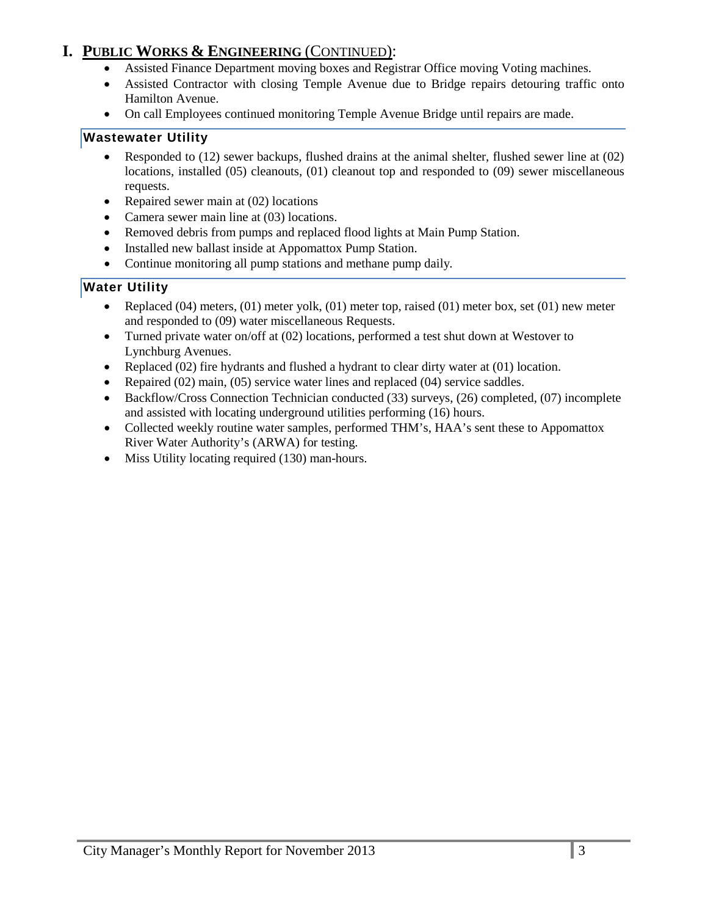## **I. PUBLIC WORKS & ENGINEERING** (CONTINUED):

- Assisted Finance Department moving boxes and Registrar Office moving Voting machines.
- Assisted Contractor with closing Temple Avenue due to Bridge repairs detouring traffic onto Hamilton Avenue.
- On call Employees continued monitoring Temple Avenue Bridge until repairs are made.

## **Wastewater Utility**

- Responded to (12) sewer backups, flushed drains at the animal shelter, flushed sewer line at (02) locations, installed (05) cleanouts, (01) cleanout top and responded to (09) sewer miscellaneous requests.
- Repaired sewer main at (02) locations
- Camera sewer main line at (03) locations.
- Removed debris from pumps and replaced flood lights at Main Pump Station.
- Installed new ballast inside at Appomattox Pump Station.
- Continue monitoring all pump stations and methane pump daily*.*

## **Water Utility**

- Replaced  $(04)$  meters,  $(01)$  meter yolk,  $(01)$  meter top, raised  $(01)$  meter box, set  $(01)$  new meter and responded to (09) water miscellaneous Requests.
- Turned private water on/off at (02) locations, performed a test shut down at Westover to Lynchburg Avenues.
- Replaced (02) fire hydrants and flushed a hydrant to clear dirty water at (01) location.
- Repaired (02) main, (05) service water lines and replaced (04) service saddles.
- Backflow/Cross Connection Technician conducted (33) surveys, (26) completed, (07) incomplete and assisted with locating underground utilities performing (16) hours.
- Collected weekly routine water samples, performed THM's, HAA's sent these to Appomattox River Water Authority's (ARWA) for testing.
- Miss Utility locating required (130) man-hours.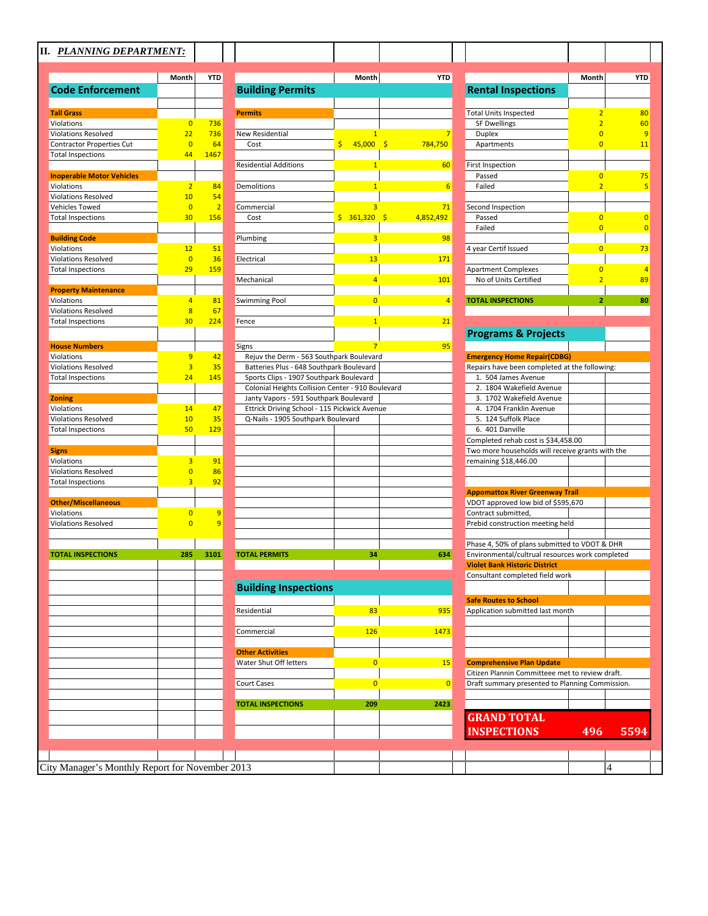|                                          | Month                | <b>YTD</b>     |                                                   | Month          | <b>YTD</b>     |                                                        | Month                            | <b>YTD</b> |
|------------------------------------------|----------------------|----------------|---------------------------------------------------|----------------|----------------|--------------------------------------------------------|----------------------------------|------------|
| <b>Code Enforcement</b>                  |                      |                | <b>Building Permits</b>                           |                |                | <b>Rental Inspections</b>                              |                                  |            |
|                                          |                      |                |                                                   |                |                |                                                        |                                  | 80         |
| <b>Tall Grass</b>                        |                      |                | <b>Permits</b>                                    |                |                | <b>Total Units Inspected</b>                           | $\overline{2}$                   |            |
| Violations<br><b>Violations Resolved</b> | $\overline{0}$<br>22 | 736<br>736     | <b>New Residential</b>                            |                | $\overline{7}$ | <b>SF Dwellings</b>                                    | $\overline{2}$<br>$\overline{0}$ |            |
| <b>Contractor Properties Cut</b>         | $\overline{0}$       | 64             | Cost                                              | $$45,000$ \$   | 784,750        | <b>Duplex</b><br>Apartments                            | $\overline{0}$                   |            |
| <b>Total Inspections</b>                 | 44                   | 1467           |                                                   |                |                |                                                        |                                  |            |
|                                          |                      |                | <b>Residential Additions</b>                      | 1              | 60             | First Inspection                                       |                                  |            |
| <b>Inoperable Motor Vehicles</b>         |                      |                |                                                   |                |                | Passed                                                 | $\overline{0}$                   |            |
| Violations                               | 2 <sup>2</sup>       | 84             | <b>Demolitions</b>                                | $\overline{1}$ | 6              | Failed                                                 | $\overline{2}$                   |            |
| <b>Violations Resolved</b>               | 10                   | 54             |                                                   |                |                |                                                        |                                  |            |
| Vehicles Towed                           | $\overline{0}$       | $\overline{2}$ | Commercial                                        | $\overline{3}$ | 71             | Second Inspection                                      |                                  |            |
| <b>Total Inspections</b>                 | 30                   | 156            | Cost                                              | $$361,320$ \$  | 4,852,492      | Passed                                                 | $\overline{0}$                   |            |
|                                          |                      |                |                                                   |                |                | Failed                                                 | $\overline{0}$                   |            |
| <b>Building Code</b>                     |                      |                | Plumbing                                          | $\overline{3}$ | 98             |                                                        |                                  |            |
| Violations                               | 12                   | 51             |                                                   |                |                | 4 year Certif Issued                                   | $\overline{0}$                   |            |
| <b>Violations Resolved</b>               | $\overline{0}$       | 36             | Electrical                                        | 13             | 171            |                                                        |                                  |            |
| <b>Total Inspections</b>                 | 29                   | 159            |                                                   |                |                | <b>Apartment Complexes</b>                             | $\overline{0}$                   |            |
|                                          |                      |                | Mechanical                                        | $\overline{4}$ | 101            | No of Units Certified                                  | $\overline{a}$                   |            |
| <b>Property Maintenance</b>              |                      |                |                                                   |                |                |                                                        |                                  |            |
| Violations                               | $\overline{4}$       | 81             | <b>Swimming Pool</b>                              | $\overline{0}$ | $\overline{4}$ | <b>TOTAL INSPECTIONS</b>                               | $\overline{2}$                   |            |
| <b>Violations Resolved</b>               | $\overline{8}$       | 67             |                                                   |                |                |                                                        |                                  |            |
| <b>Total Inspections</b>                 | 30                   | 224            | Fence                                             | $\overline{1}$ | 21             |                                                        |                                  |            |
|                                          |                      |                |                                                   |                |                | <b>Programs &amp; Projects</b>                         |                                  |            |
| <b>House Numbers</b>                     |                      |                | <b>Signs</b>                                      | $\overline{7}$ | 95             |                                                        |                                  |            |
| Violations                               | 9                    | 42             | Rejuv the Derm - 563 Southpark Boulevard          |                |                | <b>Emergency Home Repair(CDBG)</b>                     |                                  |            |
| <b>Violations Resolved</b>               | $\overline{3}$       | 35             | Batteries Plus - 648 Southpark Boulevard          |                |                | Repairs have been completed at the following:          |                                  |            |
| <b>Total Inspections</b>                 | 24                   | 145            | Sports Clips - 1907 Southpark Boulevard           |                |                | 1. 504 James Avenue                                    |                                  |            |
|                                          |                      |                | Colonial Heights Collision Center - 910 Boulevard |                |                | 2. 1804 Wakefield Avenue                               |                                  |            |
| <b>Zoning</b>                            |                      |                | Janty Vapors - 591 Southpark Boulevard            |                |                | 3. 1702 Wakefield Avenue                               |                                  |            |
| Violations                               | 14                   | 47             | Ettrick Driving School - 115 Pickwick Avenue      |                |                | 4. 1704 Franklin Avenue                                |                                  |            |
| <b>Violations Resolved</b>               | 10<br>50             | 35             | Q-Nails - 1905 Southpark Boulevard                |                |                | 5. 124 Suffolk Place                                   |                                  |            |
| <b>Total Inspections</b>                 |                      | 129            |                                                   |                |                | 6. 401 Danville<br>Completed rehab cost is \$34,458.00 |                                  |            |
| <b>Signs</b>                             |                      |                |                                                   |                |                | Two more households will receive grants with the       |                                  |            |
| Violations                               | $\overline{3}$       | 91             |                                                   |                |                | remaining \$18,446.00                                  |                                  |            |
| <b>Violations Resolved</b>               | $\overline{0}$       | 86             |                                                   |                |                |                                                        |                                  |            |
| <b>Total Inspections</b>                 | $\overline{3}$       | 92             |                                                   |                |                |                                                        |                                  |            |
|                                          |                      |                |                                                   |                |                | <b>Appomattox River Greenway Trail</b>                 |                                  |            |
| <b>Other/Miscellaneous</b>               |                      |                |                                                   |                |                | VDOT approved low bid of \$595,670                     |                                  |            |
| Violations                               | $\overline{0}$       | 9              |                                                   |                |                | Contract submitted,                                    |                                  |            |
| <b>Violations Resolved</b>               | $\overline{0}$       | 9              |                                                   |                |                | Prebid construction meeting held                       |                                  |            |
|                                          |                      |                |                                                   |                |                |                                                        |                                  |            |
|                                          |                      |                |                                                   |                |                | Phase 4, 50% of plans submitted to VDOT & DHR          |                                  |            |
| <b>TOTAL INSPECTIONS</b>                 | 285.                 | 3101           | <b>TOTAL PERMITS</b>                              | 34             | 634            | Environmental/cultrual resources work completed        |                                  |            |
|                                          |                      |                |                                                   |                |                | <b>Violet Bank Historic District</b>                   |                                  |            |
|                                          |                      |                |                                                   |                |                | Consultant completed field work                        |                                  |            |
|                                          |                      |                | <b>Building Inspections</b>                       |                |                |                                                        |                                  |            |
|                                          |                      |                |                                                   |                |                | <b>Safe Routes to School</b>                           |                                  |            |
|                                          |                      |                | Residential                                       | 83             | 935            | Application submitted last month                       |                                  |            |
|                                          |                      |                |                                                   |                |                |                                                        |                                  |            |
|                                          |                      |                | Commercial                                        | <b>126</b>     | 1473           |                                                        |                                  |            |
|                                          |                      |                |                                                   |                |                |                                                        |                                  |            |
|                                          |                      |                | <b>Other Activities</b>                           |                |                |                                                        |                                  |            |
|                                          |                      |                | Water Shut Off letters                            | $\overline{0}$ | 15             | <b>Comprehensive Plan Update</b>                       |                                  |            |
|                                          |                      |                |                                                   |                |                | Citizen Plannin Committeee met to review draft.        |                                  |            |
|                                          |                      |                | Court Cases                                       | $\overline{0}$ | 0              | Draft summary presented to Planning Commission.        |                                  |            |
|                                          |                      |                |                                                   |                |                |                                                        |                                  |            |
|                                          |                      |                | <b>TOTAL INSPECTIONS</b>                          | 209            | 2423           |                                                        |                                  |            |
|                                          |                      |                |                                                   |                |                | <b>GRAND TOTAL</b>                                     |                                  |            |
|                                          |                      |                |                                                   |                |                | <b>INSPECTIONS</b>                                     | 496                              | 5594       |
|                                          |                      |                |                                                   |                |                |                                                        |                                  |            |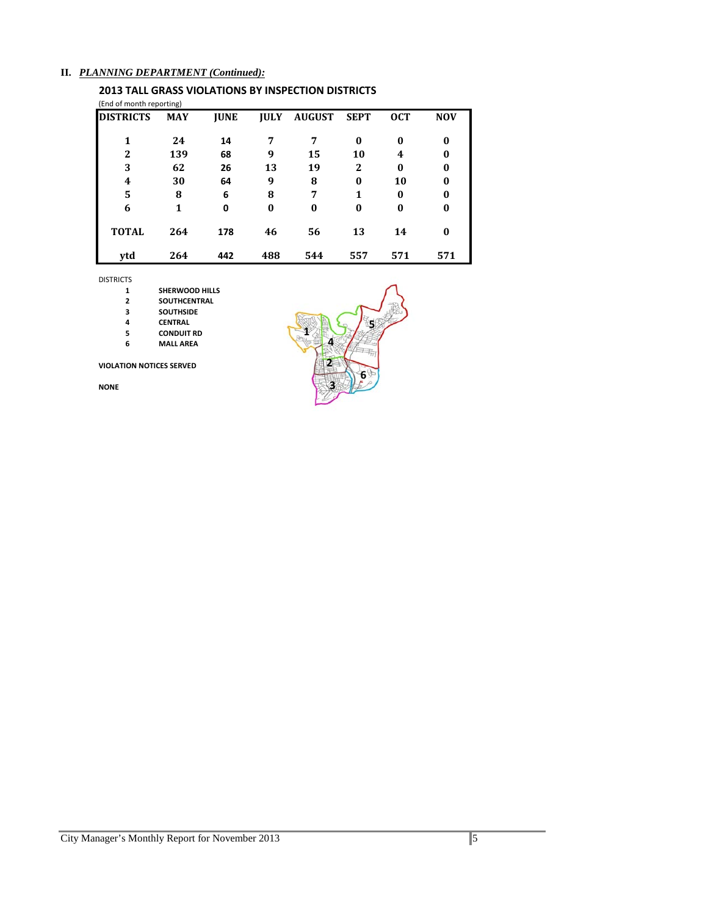#### **II.** *PLANNING DEPARTMENT (Continued):*

#### **2013 TALL GRASS VIOLATIONS BY INSPECTION DISTRICTS** (End of month reporting)

| <b>DISTRICTS</b> | <b>MAY</b> | <b>JUNE</b> | <b>IULY</b> | <b>AUGUST</b> | <b>SEPT</b>  | <b>OCT</b> | <b>NOV</b> |
|------------------|------------|-------------|-------------|---------------|--------------|------------|------------|
|                  | 24         | 14          | 7           | 7             | $\bf{0}$     | 0          | $\bf{0}$   |
| 2                | 139        | 68          | 9           | 15            | 10           | 4          | 0          |
| 3                | 62         | 26          | 13          | 19            | $\mathbf{2}$ | $\bf{0}$   | 0          |
| 4                | 30         | 64          | 9           | 8             | $\bf{0}$     | 10         | 0          |
| 5                | 8          | 6           | 8           | 7             | 1            | $\bf{0}$   | $\bf{0}$   |
| 6                | 1          | 0           | $\bf{0}$    | $\bf{0}$      | $\bf{0}$     | $\bf{0}$   | $\bf{0}$   |
| <b>TOTAL</b>     | 264        | 178         | 46          | 56            | 13           | 14         | 0          |
| ytd              | 264        | 442         | 488         | 544           | 557          | 571        | 571        |

DISTRICTS

- **SHERWOOD HILLS**
- **SOUTHCENTRAL**
- **SOUTHSIDE**
- 
- **CENTRAL CONDUIT RD**
- **MALL AREA**

#### **VIOLATION NOTICES SERVED**

**NONE**

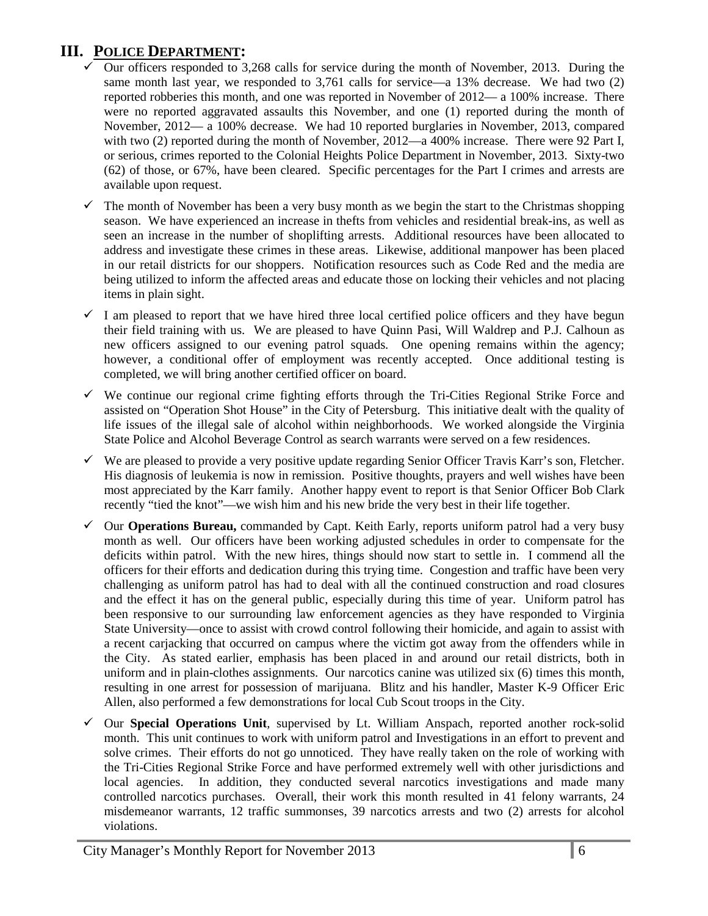## **III. POLICE DEPARTMENT:**

- Our officers responded to 3,268 calls for service during the month of November, 2013. During the same month last year, we responded to 3,761 calls for service—a 13% decrease. We had two (2) reported robberies this month, and one was reported in November of 2012— a 100% increase. There were no reported aggravated assaults this November, and one (1) reported during the month of November, 2012— a 100% decrease. We had 10 reported burglaries in November, 2013, compared with two (2) reported during the month of November, 2012—a 400% increase. There were 92 Part I, or serious, crimes reported to the Colonial Heights Police Department in November, 2013. Sixty-two (62) of those, or 67%, have been cleared. Specific percentages for the Part I crimes and arrests are available upon request.
- The month of November has been a very busy month as we begin the start to the Christmas shopping season. We have experienced an increase in thefts from vehicles and residential break-ins, as well as seen an increase in the number of shoplifting arrests. Additional resources have been allocated to address and investigate these crimes in these areas. Likewise, additional manpower has been placed in our retail districts for our shoppers. Notification resources such as Code Red and the media are being utilized to inform the affected areas and educate those on locking their vehicles and not placing items in plain sight.
- I am pleased to report that we have hired three local certified police officers and they have begun their field training with us. We are pleased to have Quinn Pasi, Will Waldrep and P.J. Calhoun as new officers assigned to our evening patrol squads. One opening remains within the agency; however, a conditional offer of employment was recently accepted. Once additional testing is completed, we will bring another certified officer on board.
- $\checkmark$  We continue our regional crime fighting efforts through the Tri-Cities Regional Strike Force and assisted on "Operation Shot House" in the City of Petersburg. This initiative dealt with the quality of life issues of the illegal sale of alcohol within neighborhoods. We worked alongside the Virginia State Police and Alcohol Beverage Control as search warrants were served on a few residences.
- $\checkmark$  We are pleased to provide a very positive update regarding Senior Officer Travis Karr's son, Fletcher. His diagnosis of leukemia is now in remission. Positive thoughts, prayers and well wishes have been most appreciated by the Karr family. Another happy event to report is that Senior Officer Bob Clark recently "tied the knot"—we wish him and his new bride the very best in their life together.
- Our **Operations Bureau,** commanded by Capt. Keith Early, reports uniform patrol had a very busy month as well. Our officers have been working adjusted schedules in order to compensate for the deficits within patrol. With the new hires, things should now start to settle in. I commend all the officers for their efforts and dedication during this trying time. Congestion and traffic have been very challenging as uniform patrol has had to deal with all the continued construction and road closures and the effect it has on the general public, especially during this time of year. Uniform patrol has been responsive to our surrounding law enforcement agencies as they have responded to Virginia State University—once to assist with crowd control following their homicide, and again to assist with a recent carjacking that occurred on campus where the victim got away from the offenders while in the City. As stated earlier, emphasis has been placed in and around our retail districts, both in uniform and in plain-clothes assignments. Our narcotics canine was utilized six (6) times this month, resulting in one arrest for possession of marijuana. Blitz and his handler, Master K-9 Officer Eric Allen, also performed a few demonstrations for local Cub Scout troops in the City.
- Our **Special Operations Unit**, supervised by Lt. William Anspach, reported another rock-solid month. This unit continues to work with uniform patrol and Investigations in an effort to prevent and solve crimes. Their efforts do not go unnoticed. They have really taken on the role of working with the Tri-Cities Regional Strike Force and have performed extremely well with other jurisdictions and local agencies. In addition, they conducted several narcotics investigations and made many controlled narcotics purchases. Overall, their work this month resulted in 41 felony warrants, 24 misdemeanor warrants, 12 traffic summonses, 39 narcotics arrests and two (2) arrests for alcohol violations.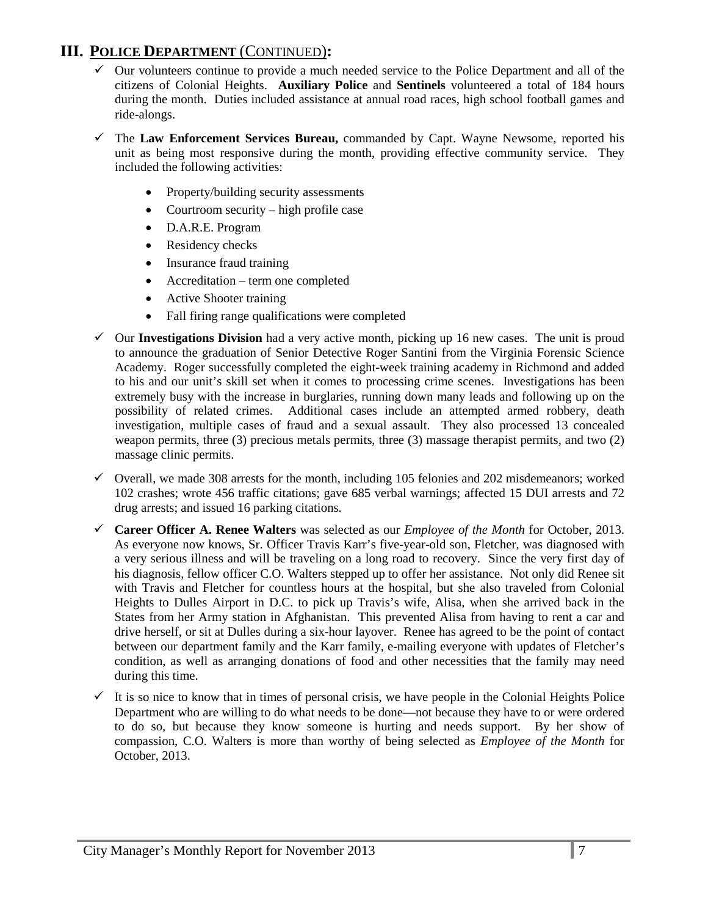## **III. POLICE DEPARTMENT** (CONTINUED)**:**

- Our volunteers continue to provide a much needed service to the Police Department and all of the citizens of Colonial Heights. **Auxiliary Police** and **Sentinels** volunteered a total of 184 hours during the month. Duties included assistance at annual road races, high school football games and ride-alongs.
- The **Law Enforcement Services Bureau,** commanded by Capt. Wayne Newsome, reported his unit as being most responsive during the month, providing effective community service. They included the following activities:
	- Property/building security assessments
	- Courtroom security high profile case
	- D.A.R.E. Program
	- Residency checks
	- Insurance fraud training
	- Accreditation term one completed
	- Active Shooter training
	- Fall firing range qualifications were completed
- $\checkmark$  Our **Investigations Division** had a very active month, picking up 16 new cases. The unit is proud to announce the graduation of Senior Detective Roger Santini from the Virginia Forensic Science Academy. Roger successfully completed the eight-week training academy in Richmond and added to his and our unit's skill set when it comes to processing crime scenes. Investigations has been extremely busy with the increase in burglaries, running down many leads and following up on the possibility of related crimes. Additional cases include an attempted armed robbery, death investigation, multiple cases of fraud and a sexual assault. They also processed 13 concealed weapon permits, three (3) precious metals permits, three (3) massage therapist permits, and two (2) massage clinic permits.
- $\checkmark$  Overall, we made 308 arrests for the month, including 105 felonies and 202 misdemeanors; worked 102 crashes; wrote 456 traffic citations; gave 685 verbal warnings; affected 15 DUI arrests and 72 drug arrests; and issued 16 parking citations.
- **Career Officer A. Renee Walters** was selected as our *Employee of the Month* for October, 2013. As everyone now knows, Sr. Officer Travis Karr's five-year-old son, Fletcher, was diagnosed with a very serious illness and will be traveling on a long road to recovery. Since the very first day of his diagnosis, fellow officer C.O. Walters stepped up to offer her assistance. Not only did Renee sit with Travis and Fletcher for countless hours at the hospital, but she also traveled from Colonial Heights to Dulles Airport in D.C. to pick up Travis's wife, Alisa, when she arrived back in the States from her Army station in Afghanistan. This prevented Alisa from having to rent a car and drive herself, or sit at Dulles during a six-hour layover. Renee has agreed to be the point of contact between our department family and the Karr family, e-mailing everyone with updates of Fletcher's condition, as well as arranging donations of food and other necessities that the family may need during this time.
- $\checkmark$  It is so nice to know that in times of personal crisis, we have people in the Colonial Heights Police Department who are willing to do what needs to be done—not because they have to or were ordered to do so, but because they know someone is hurting and needs support. By her show of compassion, C.O. Walters is more than worthy of being selected as *Employee of the Month* for October, 2013.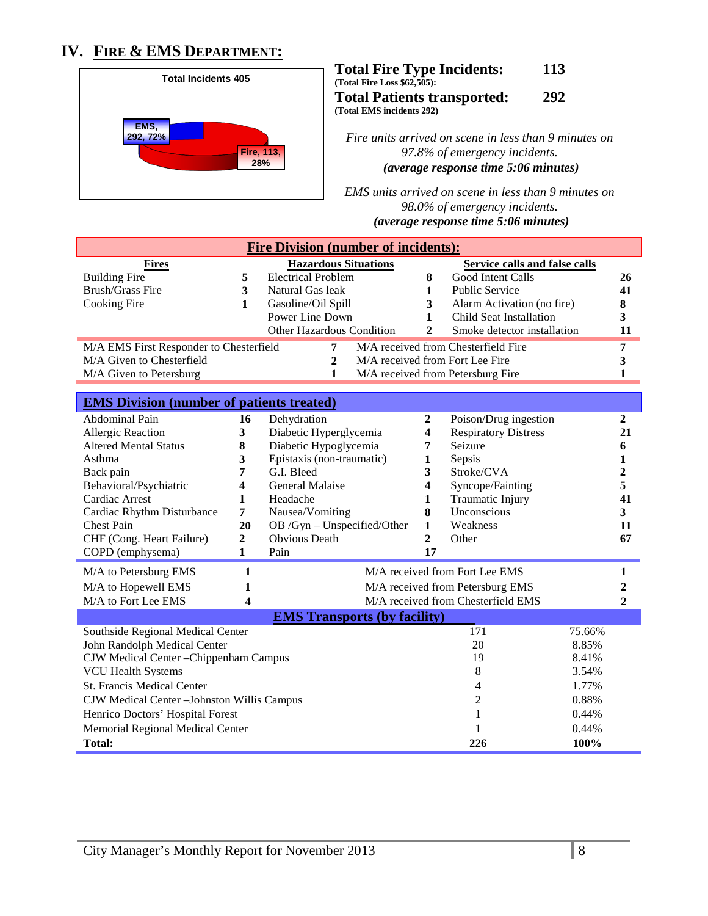## **IV. FIRE & EMS DEPARTMENT:**



**Total Fire Type Incidents: 113 (Total Fire Loss \$62,505): Total Patients transported: 292 (Total EMS incidents 292)**

*Fire units arrived on scene in less than 9 minutes on 97.8% of emergency incidents. (average response time 5:06 minutes)*

*EMS units arrived on scene in less than 9 minutes on 98.0% of emergency incidents. U(average response time 5:06 minutes)*

| <b>Fire Division (number of incidents):</b>                            |                  |                                              |                         |                                     |                  |
|------------------------------------------------------------------------|------------------|----------------------------------------------|-------------------------|-------------------------------------|------------------|
| <b>Fires</b>                                                           |                  | <b>Hazardous Situations</b>                  |                         | Service calls and false calls       |                  |
| <b>Building Fire</b>                                                   | 5                | <b>Electrical Problem</b>                    | 8                       | Good Intent Calls                   | 26               |
| <b>Brush/Grass Fire</b>                                                | 3                | Natural Gas leak                             | $\mathbf{1}$            | <b>Public Service</b>               | 41               |
| Cooking Fire                                                           | 1                | Gasoline/Oil Spill                           | 3                       | Alarm Activation (no fire)          | 8                |
|                                                                        |                  | Power Line Down<br>Other Hazardous Condition | 1<br>$\overline{c}$     | Child Seat Installation             | 3                |
|                                                                        |                  |                                              |                         | Smoke detector installation         | 11               |
| M/A EMS First Responder to Chesterfield                                |                  | 7                                            |                         | M/A received from Chesterfield Fire | 7                |
| M/A Given to Chesterfield                                              |                  | $\mathbf{2}$                                 |                         | M/A received from Fort Lee Fire     | 3                |
| M/A Given to Petersburg                                                |                  | 1                                            |                         | M/A received from Petersburg Fire   | $\mathbf{1}$     |
| <b>EMS Division (number of patients treated)</b>                       |                  |                                              |                         |                                     |                  |
| Abdominal Pain                                                         | 16               | Dehydration                                  | $\boldsymbol{2}$        | Poison/Drug ingestion               | $\boldsymbol{2}$ |
| Allergic Reaction                                                      | $\mathbf{3}$     | Diabetic Hyperglycemia                       | 4                       | <b>Respiratory Distress</b>         | 21               |
| <b>Altered Mental Status</b>                                           | 8                | Diabetic Hypoglycemia                        | 7                       | Seizure                             | 6                |
| Asthma                                                                 | 3                | Epistaxis (non-traumatic)                    | 1                       | Sepsis                              | 1                |
| Back pain                                                              | 7                | G.I. Bleed                                   | 3                       | Stroke/CVA                          | 2                |
| Behavioral/Psychiatric                                                 | 4                | General Malaise                              | 4                       | Syncope/Fainting                    | 5                |
| <b>Cardiac Arrest</b>                                                  | $\mathbf{1}$     | Headache                                     | 1                       | Traumatic Injury                    | 41               |
| Cardiac Rhythm Disturbance                                             | 7                | Nausea/Vomiting                              | 8                       | Unconscious                         | 3                |
| <b>Chest Pain</b>                                                      | 20               | OB /Gyn - Unspecified/Other                  | 1                       | Weakness                            | 11               |
| CHF (Cong. Heart Failure)                                              | $\boldsymbol{2}$ | <b>Obvious Death</b>                         | $\overline{\mathbf{c}}$ | Other                               | 67               |
| COPD (emphysema)                                                       | $\mathbf{1}$     | Pain                                         | 17                      |                                     |                  |
| M/A to Petersburg EMS                                                  | $\mathbf{1}$     |                                              |                         | M/A received from Fort Lee EMS      | $\mathbf{1}$     |
| M/A to Hopewell EMS                                                    | 1                |                                              |                         | M/A received from Petersburg EMS    | 2                |
| M/A to Fort Lee EMS                                                    | 4                |                                              |                         | M/A received from Chesterfield EMS  | $\overline{2}$   |
|                                                                        |                  | <b>EMS Transports (by facility)</b>          |                         |                                     |                  |
| Southside Regional Medical Center                                      |                  |                                              |                         | 171<br>75.66%                       |                  |
| John Randolph Medical Center                                           |                  |                                              |                         | 20<br>8.85%                         |                  |
| CJW Medical Center - Chippenham Campus                                 |                  |                                              |                         | 19<br>8.41%                         |                  |
| <b>VCU Health Systems</b>                                              |                  |                                              |                         | $\,8\,$<br>3.54%                    |                  |
| <b>St. Francis Medical Center</b><br>1.77%<br>4                        |                  |                                              |                         |                                     |                  |
| $\overline{c}$<br>0.88%<br>CJW Medical Center - Johnston Willis Campus |                  |                                              |                         |                                     |                  |
| 0.44%<br>Henrico Doctors' Hospital Forest<br>1                         |                  |                                              |                         |                                     |                  |
| Memorial Regional Medical Center                                       |                  |                                              |                         | 0.44%                               |                  |
| <b>Total:</b>                                                          |                  |                                              |                         | 100%<br>226                         |                  |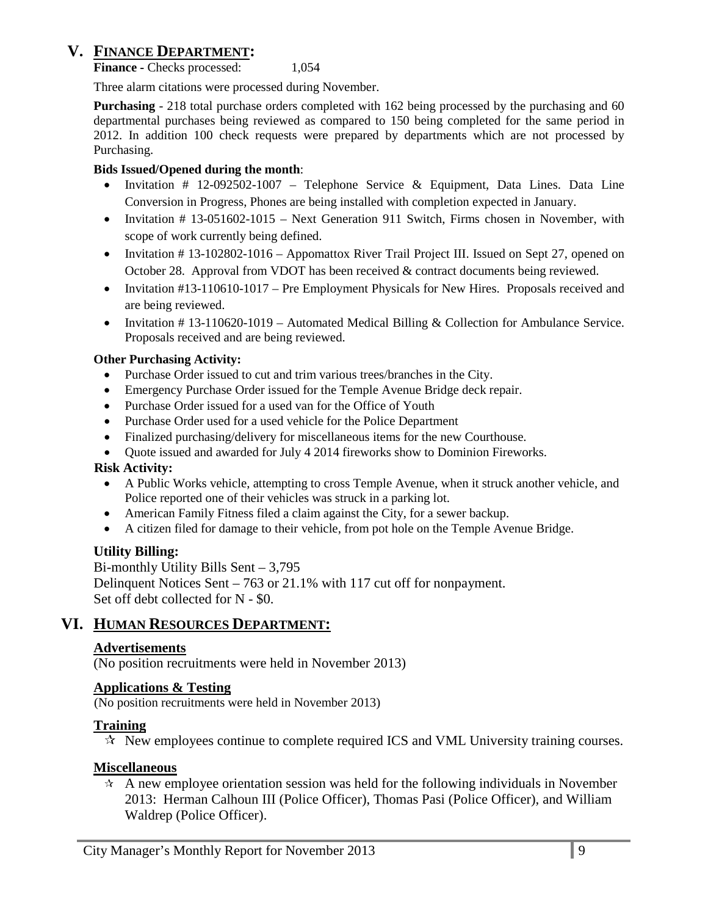## **V. FINANCE DEPARTMENT:**

**Finance -** Checks processed: 1,054

Three alarm citations were processed during November.

**Purchasing** - 218 total purchase orders completed with 162 being processed by the purchasing and 60 departmental purchases being reviewed as compared to 150 being completed for the same period in 2012. In addition 100 check requests were prepared by departments which are not processed by Purchasing.

#### **Bids Issued/Opened during the month**:

- Invitation # 12-092502-1007 Telephone Service & Equipment, Data Lines. Data Line Conversion in Progress, Phones are being installed with completion expected in January.
- Invitation # 13-051602-1015 Next Generation 911 Switch, Firms chosen in November, with scope of work currently being defined.
- Invitation # 13-102802-1016 Appomattox River Trail Project III. Issued on Sept 27, opened on October 28. Approval from VDOT has been received & contract documents being reviewed.
- Invitation #13-110610-1017 Pre Employment Physicals for New Hires. Proposals received and are being reviewed.
- Invitation # 13-110620-1019 Automated Medical Billing & Collection for Ambulance Service. Proposals received and are being reviewed.

#### **Other Purchasing Activity:**

- Purchase Order issued to cut and trim various trees/branches in the City.
- Emergency Purchase Order issued for the Temple Avenue Bridge deck repair.
- Purchase Order issued for a used van for the Office of Youth
- Purchase Order used for a used vehicle for the Police Department
- Finalized purchasing/delivery for miscellaneous items for the new Courthouse.
- Ouote issued and awarded for July 4 2014 fireworks show to Dominion Fireworks.

### **Risk Activity:**

- A Public Works vehicle, attempting to cross Temple Avenue, when it struck another vehicle, and Police reported one of their vehicles was struck in a parking lot.
- American Family Fitness filed a claim against the City, for a sewer backup.
- A citizen filed for damage to their vehicle, from pot hole on the Temple Avenue Bridge.

### **Utility Billing:**

Bi-monthly Utility Bills Sent – 3,795 Delinquent Notices Sent – 763 or 21.1% with 117 cut off for nonpayment. Set off debt collected for N - \$0.

## **VI. HUMAN RESOURCES DEPARTMENT:**

### **Advertisements**

(No position recruitments were held in November 2013)

#### **Applications & Testing**

(No position recruitments were held in November 2013)

#### **Training**

 $\star$  New employees continue to complete required ICS and VML University training courses.

#### **Miscellaneous**

 $\hat{A}$  A new employee orientation session was held for the following individuals in November 2013: Herman Calhoun III (Police Officer), Thomas Pasi (Police Officer), and William Waldrep (Police Officer).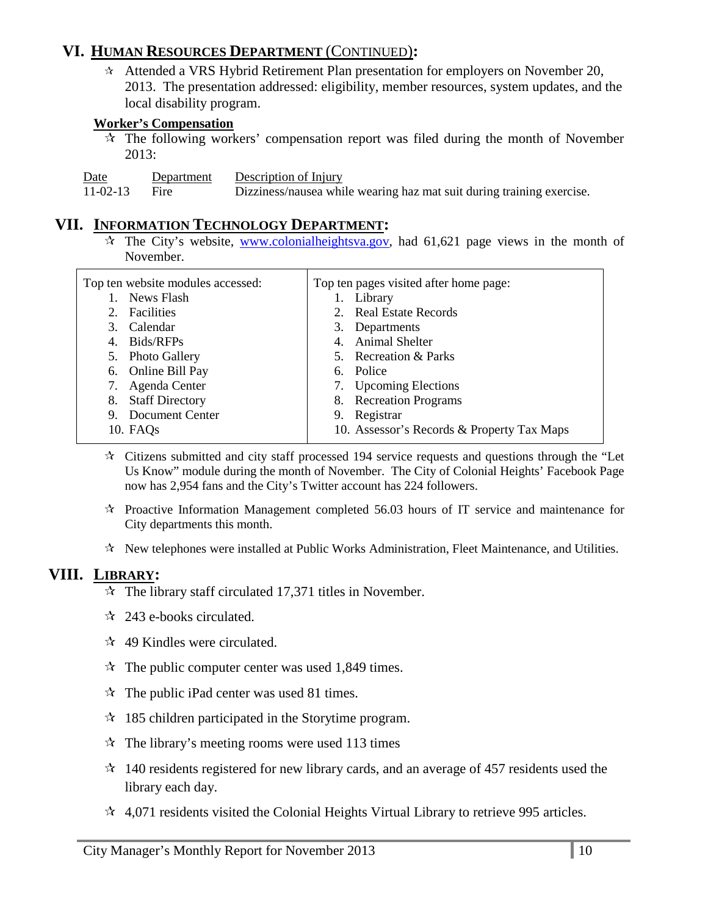## **VI. HUMAN RESOURCES DEPARTMENT** (CONTINUED)**:**

 Attended a VRS Hybrid Retirement Plan presentation for employers on November 20, 2013. The presentation addressed: eligibility, member resources, system updates, and the local disability program.

## **Worker's Compensation**

 $\hat{x}$  The following workers' compensation report was filed during the month of November 2013:

| Date | Department | Description of Injury |
|------|------------|-----------------------|
|      |            |                       |

11-02-13 Fire Dizziness/nausea while wearing haz mat suit during training exercise.

## **VII. INFORMATION TECHNOLOGY DEPARTMENT:**

 $\hat{x}$  The City's website, [www.colonialheightsva.gov,](http://www.colonialheightsva.gov/) had 61,621 page views in the month of November.

| Top ten website modules accessed: | Top ten pages visited after home page:     |
|-----------------------------------|--------------------------------------------|
| News Flash                        | Library                                    |
| Facilities<br>2.                  | 2. Real Estate Records                     |
| 3. Calendar                       | 3. Departments                             |
| Bids/RFPs<br>4.                   | 4. Animal Shelter                          |
| 5. Photo Gallery                  | 5. Recreation & Parks                      |
| 6. Online Bill Pay                | 6. Police                                  |
| Agenda Center                     | 7. Upcoming Elections                      |
| <b>Staff Directory</b><br>8.      | 8. Recreation Programs                     |
| Document Center<br>9.             | Registrar<br>9.                            |
| 10. FAQ <sub>s</sub>              | 10. Assessor's Records & Property Tax Maps |
|                                   |                                            |

- $\star$  Citizens submitted and city staff processed 194 service requests and questions through the "Let Us Know" module during the month of November. The City of Colonial Heights' Facebook Page now has 2,954 fans and the City's Twitter account has 224 followers.
- $\star$  Proactive Information Management completed 56.03 hours of IT service and maintenance for City departments this month.
- $\mathcal{R}$  New telephones were installed at Public Works Administration, Fleet Maintenance, and Utilities.

## **VIII. LIBRARY:**

- $\approx$  The library staff circulated 17,371 titles in November.
- $\approx$  243 e-books circulated.
- $\approx$  49 Kindles were circulated.
- $\approx$  The public computer center was used 1,849 times.
- $\mathcal{R}$  The public iPad center was used 81 times.
- $\approx$  185 children participated in the Storytime program.
- $\mathcal{R}$  The library's meeting rooms were used 113 times
- $\approx$  140 residents registered for new library cards, and an average of 457 residents used the library each day.
- $\approx$  4,071 residents visited the Colonial Heights Virtual Library to retrieve 995 articles.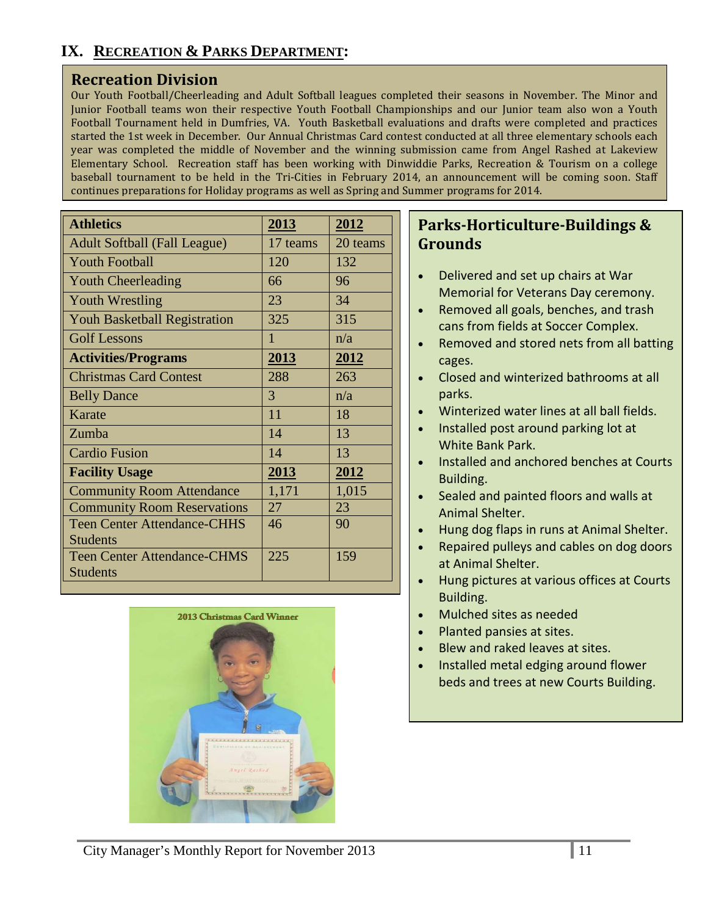## **Recreation Division**

Our Youth Football/Cheerleading and Adult Softball leagues completed their seasons in November. The Minor and Junior Football teams won their respective Youth Football Championships and our Junior team also won a Youth Football Tournament held in Dumfries, VA. Youth Basketball evaluations and drafts were completed and practices started the 1st week in December. Our Annual Christmas Card contest conducted at all three elementary schools each year was completed the middle of November and the winning submission came from Angel Rashed at Lakeview Elementary School. Recreation staff has been working with Dinwiddie Parks, Recreation & Tourism on a college baseball tournament to be held in the Tri-Cities in February 2014, an announcement will be coming soon. Staff continues preparations for Holiday programs as well as Spring and Summer programs for 2014.

| <b>Athletics</b>                    | 2013     | 2012     |
|-------------------------------------|----------|----------|
| <b>Adult Softball (Fall League)</b> | 17 teams | 20 teams |
| <b>Youth Football</b>               | 120      | 132      |
| <b>Youth Cheerleading</b>           | 66       | 96       |
| <b>Youth Wrestling</b>              | 23       | 34       |
| <b>Youh Basketball Registration</b> | 325      | 315      |
| <b>Golf Lessons</b>                 | 1        | n/a      |
| <b>Activities/Programs</b>          | 2013     | 2012     |
| <b>Christmas Card Contest</b>       | 288      | 263      |
| <b>Belly Dance</b>                  | 3        | n/a      |
| Karate                              | 11       | 18       |
| Zumba                               | 14       | 13       |
| <b>Cardio Fusion</b>                | 14       | 13       |
| <b>Facility Usage</b>               | 2013     | 2012     |
| <b>Community Room Attendance</b>    | 1,171    | 1,015    |
| <b>Community Room Reservations</b>  | 27       | 23       |
| <b>Teen Center Attendance-CHHS</b>  | 46       | 90       |
| <b>Students</b>                     |          |          |
| <b>Teen Center Attendance-CHMS</b>  | 225      | 159      |
| <b>Students</b>                     |          |          |



## **Parks-Horticulture-Buildings & Grounds**

- Delivered and set up chairs at War Memorial for Veterans Day ceremony.
- Removed all goals, benches, and trash cans from fields at Soccer Complex.
- Removed and stored nets from all batting cages.
- Closed and winterized bathrooms at all parks.
- Winterized water lines at all ball fields.
- Installed post around parking lot at White Bank Park.
- Installed and anchored benches at Courts Building.
- Sealed and painted floors and walls at Animal Shelter.
- Hung dog flaps in runs at Animal Shelter.
- Repaired pulleys and cables on dog doors at Animal Shelter.
- Hung pictures at various offices at Courts Building.
- Mulched sites as needed
- Planted pansies at sites.
- Blew and raked leaves at sites.
- Installed metal edging around flower beds and trees at new Courts Building.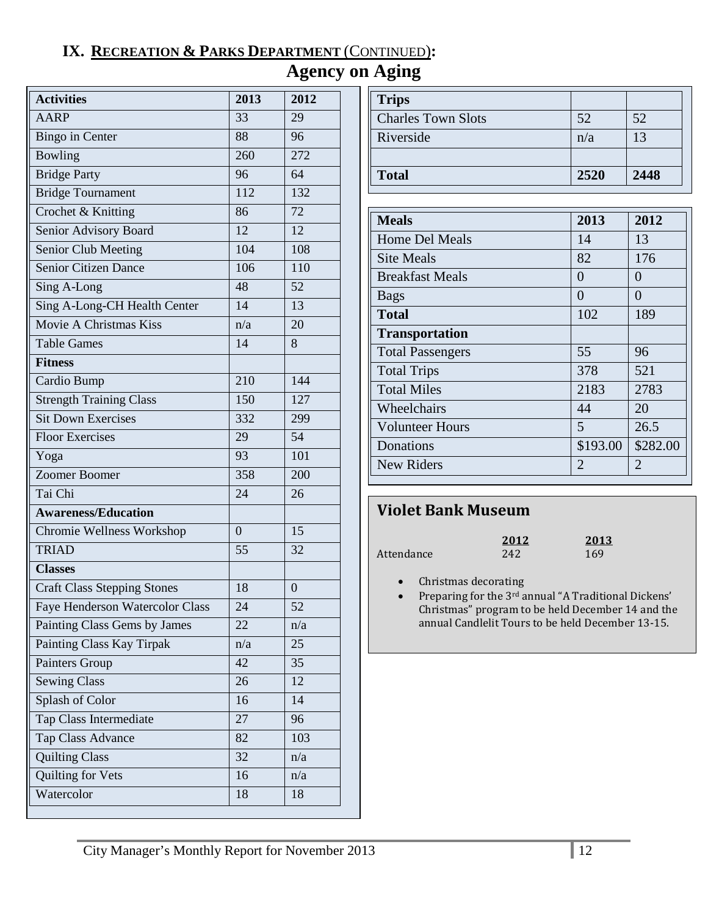## **IX. RECREATION & PARKS DEPARTMENT** (CONTINUED)**:**

# **Agency on Aging**

| <b>Activities</b>                  | 2013             | 2012    |
|------------------------------------|------------------|---------|
| <b>AARP</b>                        | 33               | 29      |
| <b>Bingo</b> in Center             | 88               | 96      |
| Bowling                            | 260              | 272     |
| <b>Bridge Party</b>                | 96               | 64      |
| <b>Bridge Tournament</b>           | 112              | 132     |
| Crochet & Knitting                 | 86               | 72      |
| Senior Advisory Board              | 12               | 12      |
| Senior Club Meeting                | 104              | 108     |
| <b>Senior Citizen Dance</b>        | 106              | 110     |
| Sing A-Long                        | 48               | 52      |
| Sing A-Long-CH Health Center       | 14               | 13      |
| Movie A Christmas Kiss             | n/a              | 20      |
| Table Games                        | 14               | 8       |
| <b>Fitness</b>                     |                  |         |
| Cardio Bump                        | 210              | 144     |
| <b>Strength Training Class</b>     | 150              | 127     |
| <b>Sit Down Exercises</b>          | 332              | 299     |
| <b>Floor Exercises</b>             | 29               | 54      |
| Yoga                               | 93               | 101     |
| Zoomer Boomer                      | 358              | 200     |
| Tai Chi                            | 24               | 26      |
| <b>Awareness/Education</b>         |                  |         |
| Chromie Wellness Workshop          | $\boldsymbol{0}$ | 15      |
| <b>TRIAD</b>                       | 55               | 32      |
| <b>Classes</b>                     |                  |         |
| <b>Craft Class Stepping Stones</b> | 18               | $\rm 0$ |
| Faye Henderson Watercolor Class    | 24               | 52      |
| Painting Class Gems by James       | 22               | n/a     |
| Painting Class Kay Tirpak          | n/a              | 25      |
| Painters Group                     | 42               | 35      |
| <b>Sewing Class</b>                | 26               | 12      |
| Splash of Color                    | 16               | 14      |
| Tap Class Intermediate             | 27               | 96      |
| Tap Class Advance                  | 82               | 103     |
| <b>Quilting Class</b>              | 32               | n/a     |
| Quilting for Vets                  | 16               | n/a     |
| Watercolor                         | 18               | 18      |

| <b>Trips</b>              |      |                |
|---------------------------|------|----------------|
| <b>Charles Town Slots</b> | 52   | 52             |
| Riverside                 | n/a  | $\mathsf{I}^2$ |
|                           |      |                |
| <b>Total</b>              | 2520 | 2448           |

| <b>Meals</b>            | 2013                  | 2012           |
|-------------------------|-----------------------|----------------|
| <b>Home Del Meals</b>   | 14                    | 13             |
| <b>Site Meals</b>       | 82                    | 176            |
| <b>Breakfast Meals</b>  | $\Omega$              | 0              |
| <b>Bags</b>             | $\theta$              | $\Omega$       |
| <b>Total</b>            | 102                   | 189            |
| <b>Transportation</b>   |                       |                |
| <b>Total Passengers</b> | 55                    | 96             |
| <b>Total Trips</b>      | 378                   | 521            |
| <b>Total Miles</b>      | 2183                  | 2783           |
| Wheelchairs             | 44                    | 20             |
| <b>Volunteer Hours</b>  | 5                     | 26.5           |
| Donations               | \$193.00              | \$282.00       |
| New Riders              | $\mathcal{D}_{\cdot}$ | $\overline{2}$ |
|                         |                       |                |

# **Violet Bank Museum**

|            | 2012 | 2013 |
|------------|------|------|
| Attendance | 242  | 169  |

• Christmas decorating

• Preparing for the 3rd annual "A Traditional Dickens' Christmas" program to be held December 14 and the annual Candlelit Tours to be held December 13-15.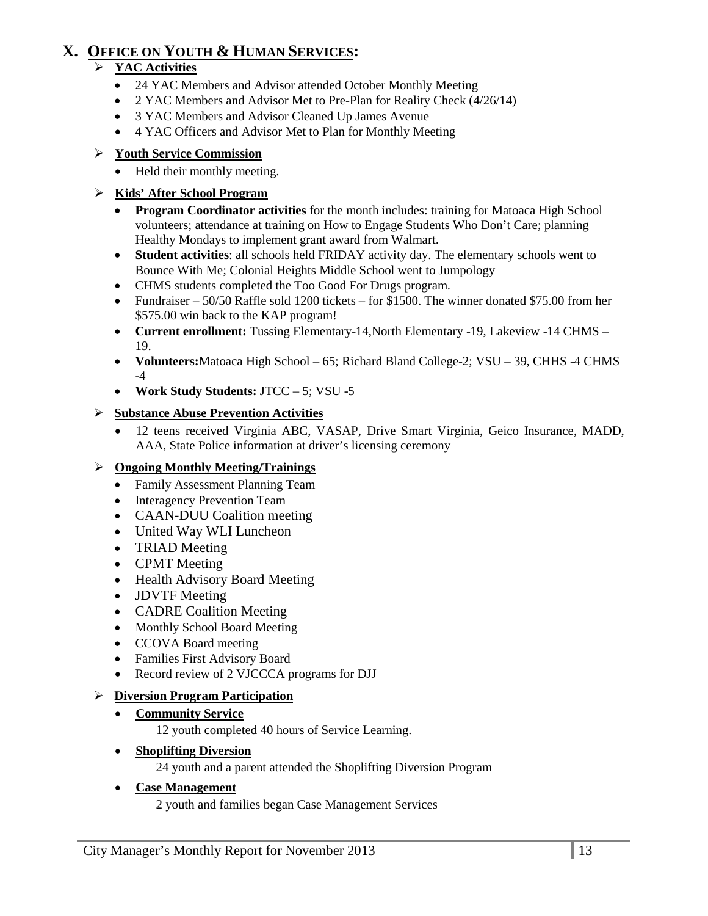## **X. OFFICE ON YOUTH & HUMAN SERVICES:**

## **YAC Activities**

- 24 YAC Members and Advisor attended October Monthly Meeting
- 2 YAC Members and Advisor Met to Pre-Plan for Reality Check (4/26/14)
- 3 YAC Members and Advisor Cleaned Up James Avenue
- 4 YAC Officers and Advisor Met to Plan for Monthly Meeting

## **Youth Service Commission**

• Held their monthly meeting.

## **Kids' After School Program**

- **Program Coordinator activities** for the month includes: training for Matoaca High School volunteers; attendance at training on How to Engage Students Who Don't Care; planning Healthy Mondays to implement grant award from Walmart.
- **Student activities**: all schools held FRIDAY activity day. The elementary schools went to Bounce With Me; Colonial Heights Middle School went to Jumpology
- CHMS students completed the Too Good For Drugs program.
- Fundraiser 50/50 Raffle sold 1200 tickets for \$1500. The winner donated \$75.00 from her \$575.00 win back to the KAP program!
- **Current enrollment:** Tussing Elementary-14,North Elementary -19, Lakeview -14 CHMS 19.
- **Volunteers:**Matoaca High School 65; Richard Bland College-2; VSU 39, CHHS -4 CHMS  $-4$
- **Work Study Students:** JTCC 5; VSU -5

## **Substance Abuse Prevention Activities**

• 12 teens received Virginia ABC, VASAP, Drive Smart Virginia, Geico Insurance, MADD, AAA, State Police information at driver's licensing ceremony

## **Ongoing Monthly Meeting/Trainings**

- Family Assessment Planning Team
- Interagency Prevention Team
- CAAN-DUU Coalition meeting
- United Way WLI Luncheon
- TRIAD Meeting
- CPMT Meeting
- Health Advisory Board Meeting
- **JDVTF** Meeting
- CADRE Coalition Meeting
- Monthly School Board Meeting
- CCOVA Board meeting
- Families First Advisory Board
- Record review of 2 VJCCCA programs for DJJ

### **Diversion Program Participation**

• **Community Service**

12 youth completed 40 hours of Service Learning.

• **Shoplifting Diversion**

24 youth and a parent attended the Shoplifting Diversion Program

### • **Case Management**

2 youth and families began Case Management Services